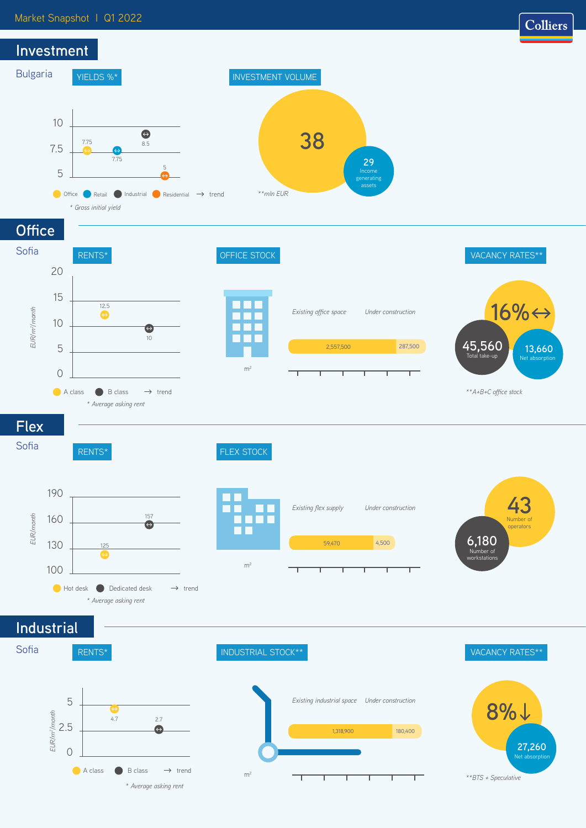